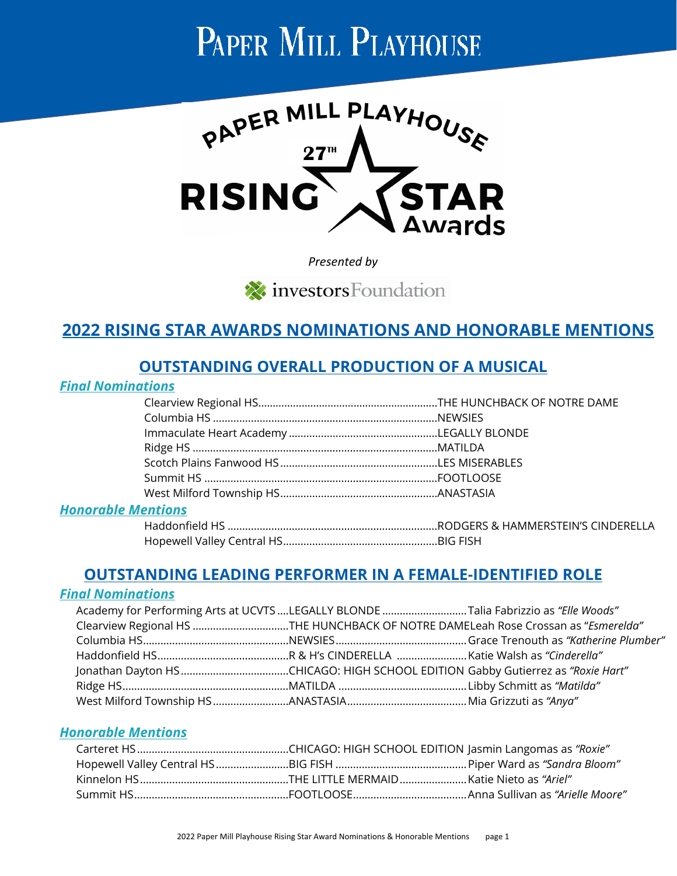# PAPER MILL PLAYHOUSE



*Presented by*

investors Foundation

# **2022 RISING STAR AWARDS NOMINATIONS AND HONORABLE MENTIONS**

## **OUTSTANDING OVERALL PRODUCTION OF A MUSICAL**

#### *Final Nominations*

| antiane |  |
|---------|--|

#### *Honorable Mentions*

# **OUTSTANDING LEADING PERFORMER IN A FEMALE-IDENTIFIED ROLE**

#### *Final Nominations*

| Academy for Performing Arts at UCVTS LEGALLY BLONDE Talia Fabrizzio as "Elle Woods" |  |
|-------------------------------------------------------------------------------------|--|
| Clearview Regional HS THE HUNCHBACK OF NOTRE DAMELeah Rose Crossan as "Esmerelda"   |  |
|                                                                                     |  |
|                                                                                     |  |
|                                                                                     |  |
|                                                                                     |  |
|                                                                                     |  |

#### *Honorable Mentions*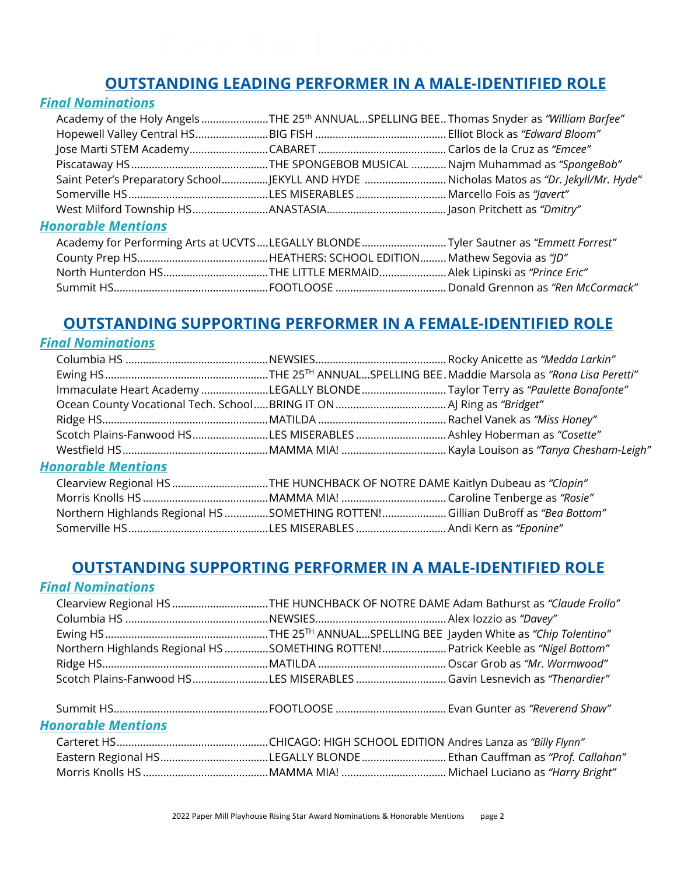# **OUTSTANDING LEADING PERFORMER IN A MALE-IDENTIFIED ROLE**

## *Final Nominations*

| Academy of the Holy Angels THE 25th ANNUALSPELLING BEE Thomas Snyder as "William Barfee" |                                                                                         |
|------------------------------------------------------------------------------------------|-----------------------------------------------------------------------------------------|
|                                                                                          |                                                                                         |
|                                                                                          |                                                                                         |
|                                                                                          |                                                                                         |
|                                                                                          | Saint Peter's Preparatory SchoolJEKYLL AND HYDE Nicholas Matos as "Dr. Jekyll/Mr. Hyde" |
|                                                                                          |                                                                                         |
|                                                                                          |                                                                                         |
| <b>Honorable Mentions</b>                                                                |                                                                                         |
| Academy for Performing Arts at UCVTSLEGALLY BLONDETyler Sautner as "Emmett Forrest"      |                                                                                         |
|                                                                                          |                                                                                         |
| North Hunterdon HSTHE LITTLE MERMAID Alek Lipinski as "Prince Eric"                      |                                                                                         |
|                                                                                          |                                                                                         |

# **OUTSTANDING SUPPORTING PERFORMER IN A FEMALE-IDENTIFIED ROLE**

#### *Final Nominations*

| Immaculate Heart Academy LEGALLY BLONDE Taylor Terry as "Paulette Bonafonte"    |  |
|---------------------------------------------------------------------------------|--|
|                                                                                 |  |
|                                                                                 |  |
| Scotch Plains-Fanwood HSLES MISERABLES  Ashley Hoberman as "Cosette"            |  |
|                                                                                 |  |
| <b>Honorable Mentions</b>                                                       |  |
| Clearview Regional HS THE HUNCHBACK OF NOTRE DAME Kaitlyn Dubeau as "Clopin"    |  |
|                                                                                 |  |
| Northern Highlands Regional HS SOMETHING ROTTEN!Gillian DuBroff as "Bea Bottom" |  |

## **OUTSTANDING SUPPORTING PERFORMER IN A MALE-IDENTIFIED ROLE**

Somerville HS................................................LES MISERABLES ...............................Andi Kern as *"Eponine"*

## *Final Nominations*

|  | Clearview Regional HS THE HUNCHBACK OF NOTRE DAME Adam Bathurst as "Claude Frollo" |
|--|------------------------------------------------------------------------------------|
|  |                                                                                    |
|  |                                                                                    |
|  | Northern Highlands Regional HS SOMETHING ROTTEN! Patrick Keeble as "Nigel Bottom"  |
|  |                                                                                    |
|  |                                                                                    |

#### Summit HS..................................................... FOOTLOOSE ...................................... Evan Gunter as *"Reverend Shaw" Honorable Mentions*

| Eastern Regional HSLEGALLY BLONDE Ethan Cauffman as "Prof. Callahan" |  |
|----------------------------------------------------------------------|--|
|                                                                      |  |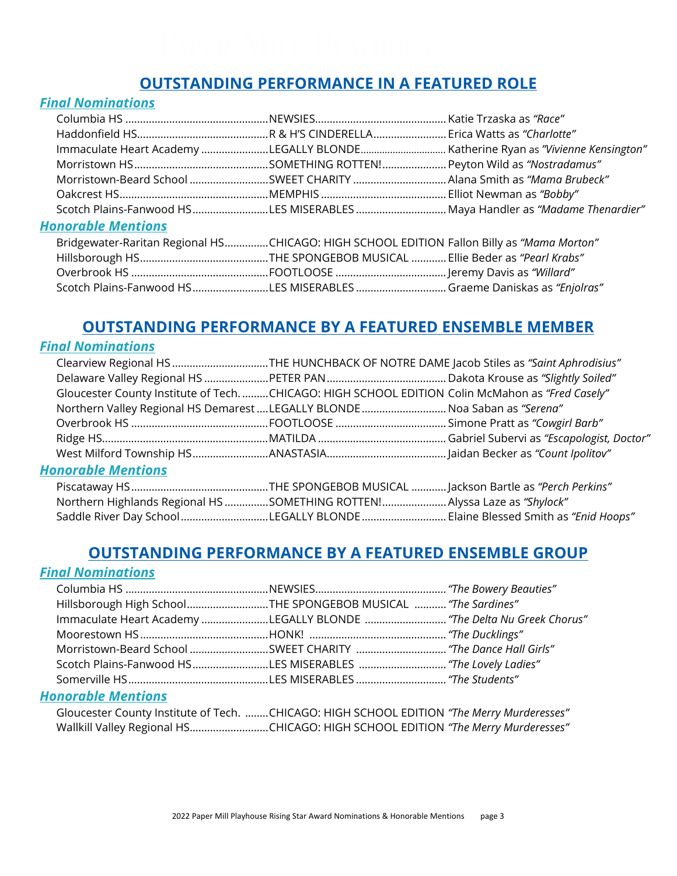# **OUTSTANDING PERFORMANCE IN A FEATURED ROLE**

#### *Final Nominations*

| Scotch Plains-Fanwood HSLES MISERABLES  Maya Handler as "Madame Thenardier"               |  |
|-------------------------------------------------------------------------------------------|--|
| <b>Honorable Mentions</b>                                                                 |  |
| Bridgewater-Raritan Regional HSCHICAGO: HIGH SCHOOL EDITION Fallon Billy as "Mama Morton" |  |
|                                                                                           |  |
|                                                                                           |  |

# **OUTSTANDING PERFORMANCE BY A FEATURED ENSEMBLE MEMBER**

Scotch Plains-Fanwood HS..........................LES MISERABLES ............................... Graeme Daniskas as *"Enjolras"* 

#### *Final Nominations*

|                                                                                                  | Clearview Regional HS THE HUNCHBACK OF NOTRE DAME Jacob Stiles as "Saint Aphrodisius" |  |  |
|--------------------------------------------------------------------------------------------------|---------------------------------------------------------------------------------------|--|--|
|                                                                                                  |                                                                                       |  |  |
| Gloucester County Institute of Tech. CHICAGO: HIGH SCHOOL EDITION Colin McMahon as "Fred Casely" |                                                                                       |  |  |
| Northern Valley Regional HS Demarest LEGALLY BLONDE  Noa Saban as "Serena"                       |                                                                                       |  |  |
|                                                                                                  |                                                                                       |  |  |
|                                                                                                  |                                                                                       |  |  |
|                                                                                                  |                                                                                       |  |  |
| <b>Honorable Mentions</b>                                                                        |                                                                                       |  |  |
|                                                                                                  |                                                                                       |  |  |
| "Northern Highlands Regional HS SOMETHING ROTTEN!Alyssa Laze as "Shylock"                        |                                                                                       |  |  |
| Saddle River Day SchoolLEGALLY BLONDE Elaine Blessed Smith as "Enid Hoops"                       |                                                                                       |  |  |

## **OUTSTANDING PERFORMANCE BY A FEATURED ENSEMBLE GROUP**

## *Final Nominations*

| Hillsborough High SchoolTHE SPONGEBOB MUSICAL  "The Sardines"        |  |
|----------------------------------------------------------------------|--|
| Immaculate Heart Academy LEGALLY BLONDE  "The Delta Nu Greek Chorus" |  |
|                                                                      |  |
|                                                                      |  |
|                                                                      |  |
|                                                                      |  |

#### *Honorable Mentions*

| Gloucester County Institute of Tech. CHICAGO: HIGH SCHOOL EDITION "The Merry Murderesses" |  |  |
|-------------------------------------------------------------------------------------------|--|--|
| Wallkill Valley Regional HSCHICAGO: HIGH SCHOOL EDITION "The Merry Murderesses"           |  |  |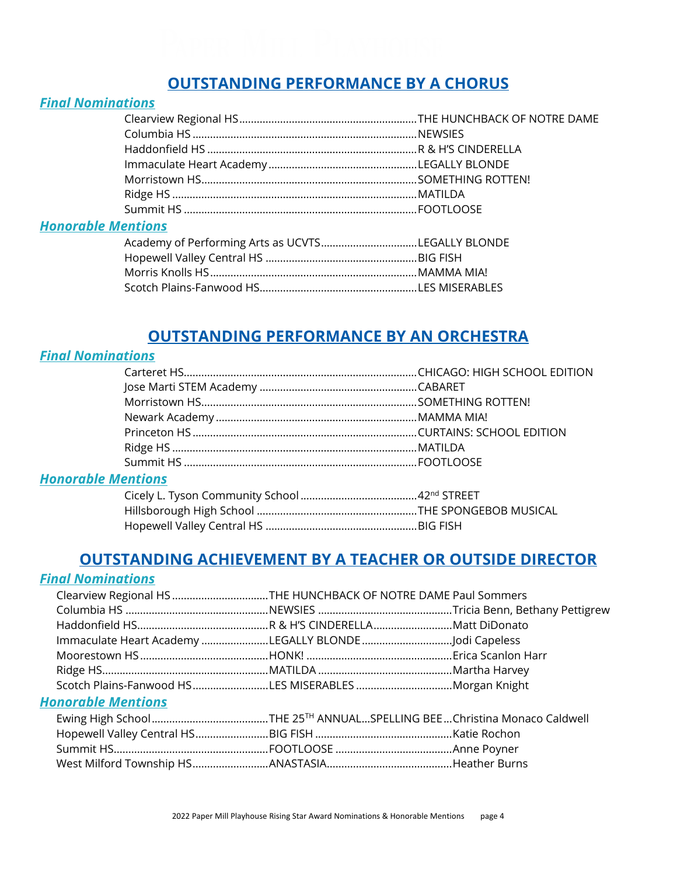# **OUTSTANDING PERFORMANCE BY A CHORUS**

#### *Final Nominations*

| <b>Honorable Mentions</b> |  |
|---------------------------|--|

| Academy of Performing Arts as UCVTSLEGALLY BLONDE |  |
|---------------------------------------------------|--|
|                                                   |  |
|                                                   |  |
|                                                   |  |

## **OUTSTANDING PERFORMANCE BY AN ORCHESTRA**

## *Final Nominations*

## *Honorable Mentions*

## **OUTSTANDING ACHIEVEMENT BY A TEACHER OR OUTSIDE DIRECTOR**

#### *Final Nominations*

|                                                       | Clearview Regional HS THE HUNCHBACK OF NOTRE DAME Paul Sommers |  |
|-------------------------------------------------------|----------------------------------------------------------------|--|
|                                                       |                                                                |  |
|                                                       |                                                                |  |
| Immaculate Heart Academy LEGALLY BLONDE Jodi Capeless |                                                                |  |
|                                                       |                                                                |  |
|                                                       |                                                                |  |
| Scotch Plains-Fanwood HSLES MISERABLESMorgan Knight   |                                                                |  |
| <b>Honorable Mentions</b>                             |                                                                |  |
|                                                       |                                                                |  |
|                                                       |                                                                |  |
|                                                       |                                                                |  |
|                                                       |                                                                |  |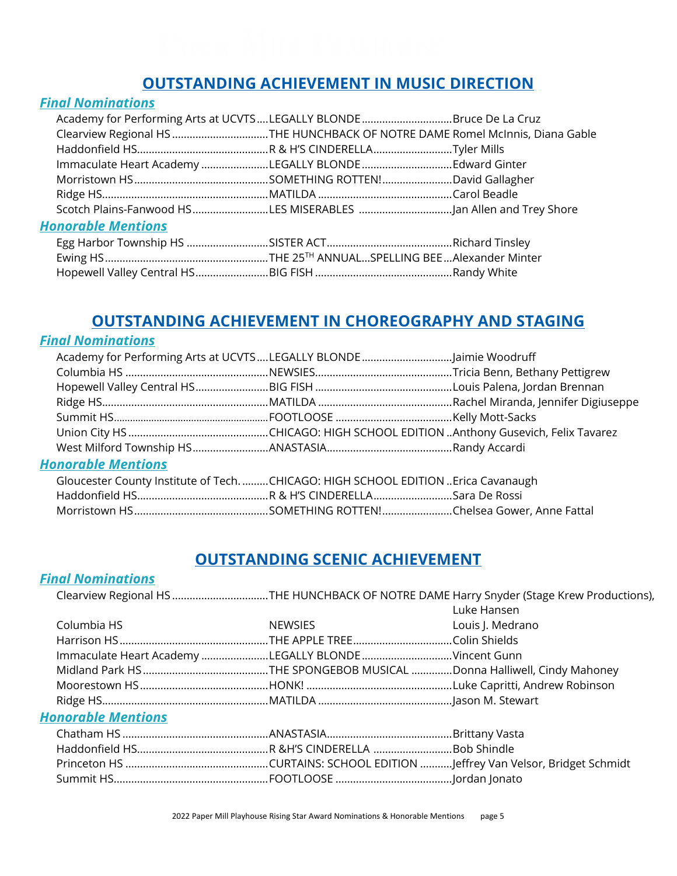# **OUTSTANDING ACHIEVEMENT IN MUSIC DIRECTION**

#### *Final Nominations*

| Academy for Performing Arts at UCVTSLEGALLY BLONDEBruce De La Cruz           |  |
|------------------------------------------------------------------------------|--|
| Clearview Regional HS THE HUNCHBACK OF NOTRE DAME Romel McInnis, Diana Gable |  |
|                                                                              |  |
| Immaculate Heart Academy LEGALLY BLONDE Edward Ginter                        |  |
|                                                                              |  |
|                                                                              |  |
|                                                                              |  |
| <b>Honorable Mentions</b>                                                    |  |
|                                                                              |  |
|                                                                              |  |
|                                                                              |  |

# **OUTSTANDING ACHIEVEMENT IN CHOREOGRAPHY AND STAGING**

## *Final Nominations*

| <b>Honorable Mentions</b>                                                       |  |
|---------------------------------------------------------------------------------|--|
| Gloucester County Institute of TechCHICAGO: HIGH SCHOOL EDITION Erica Cavanaugh |  |
|                                                                                 |  |
|                                                                                 |  |

## **OUTSTANDING SCENIC ACHIEVEMENT**

## *Final Nominations*

|                                                      |                | Clearview Regional HS THE HUNCHBACK OF NOTRE DAME Harry Snyder (Stage Krew Productions), |
|------------------------------------------------------|----------------|------------------------------------------------------------------------------------------|
|                                                      |                | Luke Hansen                                                                              |
| Columbia HS                                          | <b>NEWSIES</b> | Louis J. Medrano                                                                         |
|                                                      |                |                                                                                          |
| Immaculate Heart Academy LEGALLY BLONDE Vincent Gunn |                |                                                                                          |
|                                                      |                |                                                                                          |
|                                                      |                |                                                                                          |
|                                                      |                |                                                                                          |
|                                                      |                |                                                                                          |

#### *Honorable Mentions*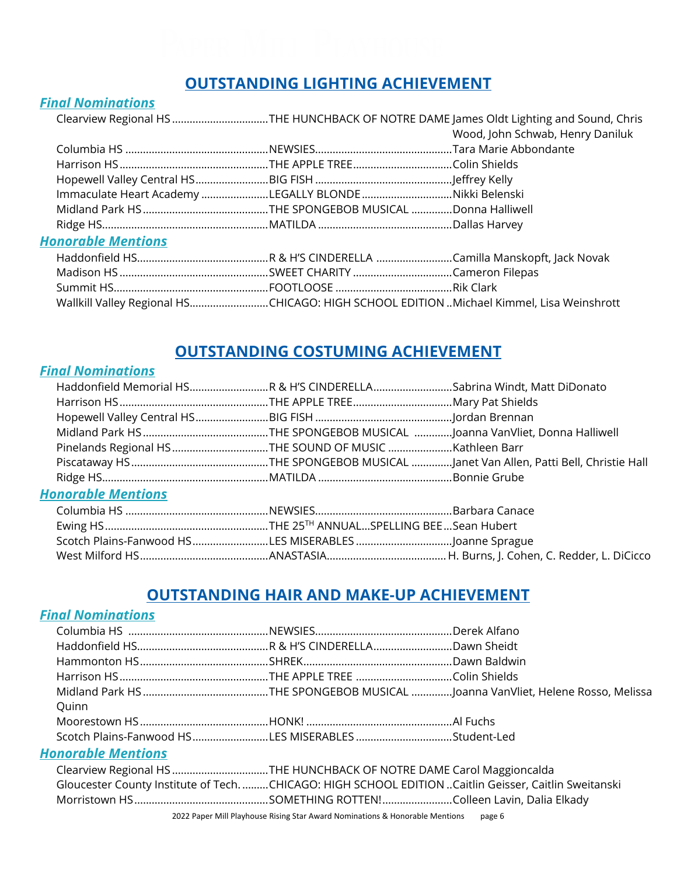# **OUTSTANDING LIGHTING ACHIEVEMENT**

#### *Final Nominations*

|                           |                                                        | Clearview Regional HS THE HUNCHBACK OF NOTRE DAME James Oldt Lighting and Sound, Chris  |
|---------------------------|--------------------------------------------------------|-----------------------------------------------------------------------------------------|
|                           |                                                        | Wood, John Schwab, Henry Daniluk                                                        |
|                           |                                                        |                                                                                         |
|                           |                                                        |                                                                                         |
|                           |                                                        |                                                                                         |
|                           | Immaculate Heart Academy LEGALLY BLONDE Nikki Belenski |                                                                                         |
|                           |                                                        |                                                                                         |
|                           |                                                        |                                                                                         |
| <b>Honorable Mentions</b> |                                                        |                                                                                         |
|                           |                                                        |                                                                                         |
|                           |                                                        |                                                                                         |
|                           |                                                        |                                                                                         |
|                           |                                                        | Wallkill Valley Regional HSCHICAGO: HIGH SCHOOL EDITION Michael Kimmel, Lisa Weinshrott |

# **OUTSTANDING COSTUMING ACHIEVEMENT**

#### *Final Nominations*

| Haddonfield Memorial HSR & H'S CINDERELLASabrina Windt, Matt DiDonato |  |
|-----------------------------------------------------------------------|--|
|                                                                       |  |
|                                                                       |  |
|                                                                       |  |
|                                                                       |  |
|                                                                       |  |
|                                                                       |  |
| <b>Honorable Mentions</b>                                             |  |
|                                                                       |  |
|                                                                       |  |
| Scotch Plains-Fanwood HSLES MISERABLES Joanne Sprague                 |  |
|                                                                       |  |

## **OUTSTANDING HAIR AND MAKE-UP ACHIEVEMENT**

## *Final Nominations*

| Quinn                                                                                                 |  |
|-------------------------------------------------------------------------------------------------------|--|
|                                                                                                       |  |
| Scotch Plains-Fanwood HSLES MISERABLES Student-Led                                                    |  |
| <b>Honorable Mentions</b>                                                                             |  |
| Clearview Regional HS THE HUNCHBACK OF NOTRE DAME Carol Maggioncalda                                  |  |
| Gloucester County Institute of Tech. CHICAGO: HIGH SCHOOL EDITION Caitlin Geisser, Caitlin Sweitanski |  |
|                                                                                                       |  |
|                                                                                                       |  |

2022 Paper Mill Playhouse Rising Star Award Nominations & Honorable Mentions page 6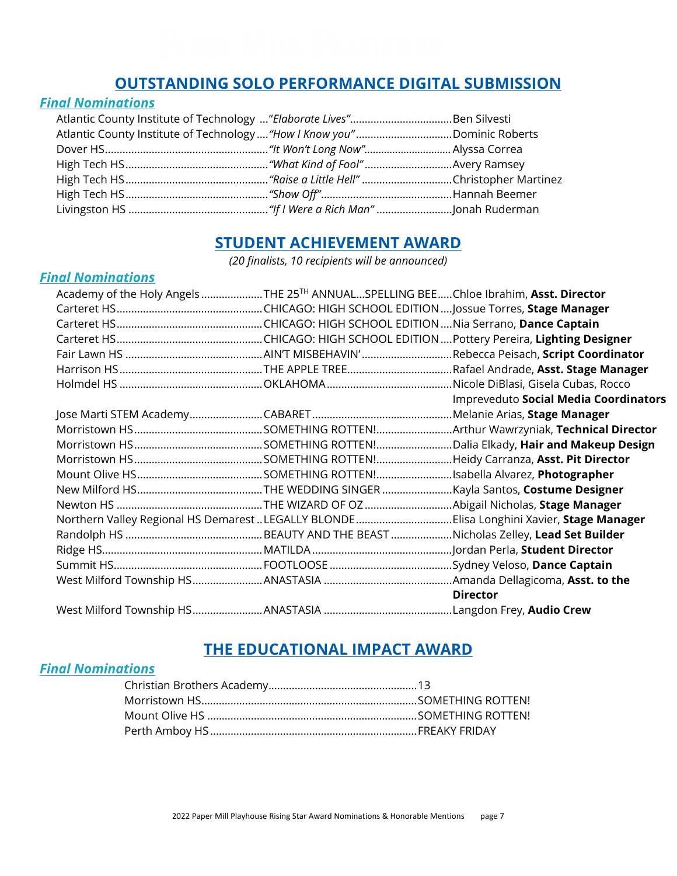## **OUTSTANDING SOLO PERFORMANCE DIGITAL SUBMISSION**

#### *Final Nominations*

| Atlantic County Institute of Technology "Elaborate Lives"Ben Silvesti |  |
|-----------------------------------------------------------------------|--|
|                                                                       |  |
|                                                                       |  |
|                                                                       |  |
|                                                                       |  |
|                                                                       |  |
|                                                                       |  |

## **STUDENT ACHIEVEMENT AWARD**

*(20 finalists, 10 recipients will be announced)*

## *Final Nominations*

| Academy of the Holy Angels THE 25 <sup>TH</sup> ANNUALSPELLING BEEChloe Ibrahim, Asst. Director |                                                                                         |
|-------------------------------------------------------------------------------------------------|-----------------------------------------------------------------------------------------|
|                                                                                                 |                                                                                         |
|                                                                                                 |                                                                                         |
|                                                                                                 |                                                                                         |
|                                                                                                 |                                                                                         |
|                                                                                                 |                                                                                         |
|                                                                                                 |                                                                                         |
|                                                                                                 | Impreveduto Social Media Coordinators                                                   |
|                                                                                                 |                                                                                         |
|                                                                                                 |                                                                                         |
|                                                                                                 |                                                                                         |
|                                                                                                 |                                                                                         |
|                                                                                                 |                                                                                         |
|                                                                                                 |                                                                                         |
|                                                                                                 |                                                                                         |
|                                                                                                 | Northern Valley Regional HS Demarest LEGALLY BLONDEElisa Longhini Xavier, Stage Manager |
|                                                                                                 |                                                                                         |
|                                                                                                 |                                                                                         |
|                                                                                                 |                                                                                         |
|                                                                                                 |                                                                                         |
|                                                                                                 | <b>Director</b>                                                                         |
|                                                                                                 |                                                                                         |

## **THE EDUCATIONAL IMPACT AWARD**

## *Final Nominations*